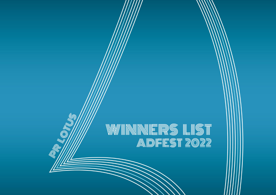# WINNNERS LIST

**MONUM** 

Q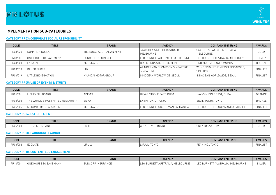

# **IMPLEMENTATION SUB-CATEGORIES**

#### **CATEGORY PR03: CORPORATE SOCIAL RESPONSIBILITY**

| CODE     | <b>TITLE</b>           | <b>BRAND</b>               | <b>AGENCY</b>                              | <b>COMPANY ENTERING</b>                           | <b>AWARDS</b>   |
|----------|------------------------|----------------------------|--------------------------------------------|---------------------------------------------------|-----------------|
| PR03/020 | DONATION DOLLAR        | THE ROYAL AUSTRALIAN MINT  | SAATCHI & SAATCHI AUSTRALIA.<br>MELBOURNE  | ISAATCHI & SAATCHI AUSTRALIA.<br><b>MELBOURNE</b> | GOLD            |
| PR03/001 | ONE HOUSE TO SAVE MANY | <b>I</b> SUNCORP INSURANCE | LEO BURNETT AUSTRALIA, MELBOURNE           | LEO BURNETT AUSTRALIA, MELBOURNE                  | <b>SILVER</b>   |
| PR03/003 | <b>EATQUAL</b>         | MCDONALD'S                 | DDB MUDRA GROUP, MUMBAI                    | <b>DDB MUDRA GROUP, MUMBAL</b>                    | BRONZE          |
| PR03/018 | IN HER SHOES           | lux                        | WUNDERMAN THOMPSON SINGAPORE,<br>SINGAPORE | WUNDERMAN THOMPSON SINGAPORE.<br>SINGAPORE        | <b>FINALIST</b> |
| PR03/019 | LITTLE BIG E-MOTION    | <b>HYUNDAI MOTOR GROUP</b> | INNOCEAN WORLDWIDE, SEOUL                  | INNOCEAN WORLDWIDE, SEOUL                         | <b>FINALIST</b> |

#### **CATEGORY PR05: USE OF EVENTS & STUNTS**

| CODE     | TITLE                                     | <b>BRAND</b>  | <b>AGENCY</b>                    | <b>COMPANY ENTERING</b>          | <b>AWARDS</b>   |
|----------|-------------------------------------------|---------------|----------------------------------|----------------------------------|-----------------|
| PR05/001 | LIQUID BILLBOARD                          | <b>ADIDAS</b> | HAVAS MIDDLE EAST, DUBAI         | HAVAS MIDDLE EAST, DUBAI         | GRANDE          |
| PR05/002 | <b>ITHE WORLD'S MOST HATED RESTAURANT</b> | <b>SEIYU</b>  | ENJIN TOKYO, TOKYO               | ENJIN TOKYO, TOKYO               | <b>BRONZE</b>   |
| PR05/005 | MCDONALD'S CLASSROOM                      | MCDONALD'S    | LEO BURNETT GROUP MANILA, MANILA | LEO BURNETT GROUP MANILA, MANILA | <b>FINALIST</b> |

#### **CATEGORY PR06: USE OF TALENT**

| CODE                         | <b>TITLE</b> | <b>BRAND</b> | <b>AGENCY</b>                     | <b>COMPANY ENTERING</b>      | <b>AWARDS</b>     |
|------------------------------|--------------|--------------|-----------------------------------|------------------------------|-------------------|
| 100 <sup>o</sup><br>'RU6/UU3 | LANE         | .JN-         | токүс<br>$\cap$<br>гокүо<br>UUKL. | <b>TOKYC</b><br>UKYU<br>UKL. | $\bigcap$<br>UULL |

#### **CATEGORY PR08: LAUNCH/RE-LAUNCH**

| CODE    | <b>TITLE</b>               | BRAND | <b>AGENCY</b> | <b>COMPANY ENTERING</b>    | <b>AWARDS</b> |
|---------|----------------------------|-------|---------------|----------------------------|---------------|
| PR08/00 | <b>JLATE</b><br><b>IEC</b> |       | <b>TOKYC</b>  | OKYO<br>1 N 14<br>∵FAK IN∪ | tinali.       |

#### **CATEGORY PR10: CONTENT-LED ENGAGEMENT**

| CODE    | <b>TITLE</b>                                           | <b>BRAND</b> | <b>AGENCY</b>                                                     | PANY ENTERING<br><b>COMF</b>                                 | <b>AWARDS</b> |
|---------|--------------------------------------------------------|--------------|-------------------------------------------------------------------|--------------------------------------------------------------|---------------|
| PR10/00 | $\bigcap$ N<br><b>MANY</b><br>.HUUSE-<br>SAVE<br>IUNE. | NSURANUE     | LBOURNE<br>AUST<br>$\mapsto$<br>$\cdot$ . O DUININL .<br>$1 - 17$ | LBOURNE<br><b>BURNF</b><br>J RALIA ا<br>I L E<br><b>AVII</b> | <b>SILVEI</b> |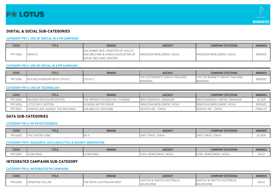



# **DIGITAL & SOCIAL SUB-CATEGORIES**

#### **CATEGORY PR11: USE OF DIGITAL IN A PR CAMPAIGN**

| CODE     | TITLE   | <b>BRAND</b>                                                                                               | <b>AGENCY</b>             | <b>COMPANY ENTERING</b>   | <b>AWARDS</b> |
|----------|---------|------------------------------------------------------------------------------------------------------------|---------------------------|---------------------------|---------------|
| PR11/003 | MASK ID | DAL.KOMM CAFE / MINISTRY OF HEALTH<br>LAND WELFARE & KOREA ASSOCIATION OF<br><b>SOCIAL WELFARE CENTERS</b> | INNOCEAN WORLDWIDE, SEOUL | INNOCEAN WORLDWIDE, SEOUL | <b>BRONZE</b> |

#### **CATEGORY PR12: USE OF SOCIAL IN A PR CAMPAIGN**

| <b>CODE</b> | <b>TITLE</b>                   | <b>BRAND</b> | <b>AGENCY</b>                             | <b>COMPANY ENTERING</b>              | <b>AWARDS</b> |
|-------------|--------------------------------|--------------|-------------------------------------------|--------------------------------------|---------------|
| PR12/006    | IN A RELATIONSHIP WITH LOTUS'S | LOTUS'S      | LEO BURNETT GROUP THAILAND.<br><b>THF</b> | E LEO BURNETT GROUP THAILAND.<br>THE | <b>BRONZE</b> |
|             |                                |              | <b>BANGKOK</b>                            | <b>BANGKOK</b>                       |               |

#### **CATEGORY PR13: USE OF TECHNOLOGY**

| CODE     | TITLE                           | <b>BRAND</b>                           | <b>AGENCY</b>             | <b>COMPANY ENTERING</b>       | <b>AWARDS</b>   |
|----------|---------------------------------|----------------------------------------|---------------------------|-------------------------------|-----------------|
| PR13/003 | IMISSING PERSON REPORTERS       | <b>ITHE MIRROR FOUNDATION / KUNANA</b> | BBDO BANGKOK, BANGKOK     | BBDO BANGKOK LIMITED, BANGKOK | <b>SILVER</b>   |
| PR13/006 | LITTLE BIG E-MOTION             | <b>HYUNDAI MOTOR GROUP</b>             | INNOCEAN WORLDWIDE, SEOUL | INNOCEAN WORLDWIDE, SEOUL     | <b>BRONZE</b>   |
| PR13/001 | CAMOUFLAGE AGAINST THE MACHINES | UNLABELED, NEXUSVII.                   | DENTSU INC., TOKYO        | DENTSU INC., TOKYO            | <b>FINALIST</b> |

# **DATA SUB-CATEGORIES**

#### **CATEGORY PR14: PR EFFECTIVENESS**

| CODE    | <b>TITLE</b>                                                      | <b>BRAND</b> | <b>AGENCY</b>         | <b>COMPANY ENTERING</b>            | <b>AWARDS</b> |
|---------|-------------------------------------------------------------------|--------------|-----------------------|------------------------------------|---------------|
| R14/UUZ | .THE<br>$ \vdash$ $\mathbb{N}$ $\vdash$ $\vdash$ $\vdash$<br>LANE | 7W           | <b>TOKYC</b><br>OKYO. | <b>TOKYC</b><br>$\sqrt{2}$<br>UNIU | ᅴᄂັ           |

#### **CATEGORY PR15: RESEARCH, DATA ANALYTICS & INSIGHT GENERATION**

| CODE                                      | <b>TITLE</b>     | <b>BRAND</b> | <b>AGENCY</b>       | <b>MPANY ENTERING</b><br><b>COMF</b>     | <b>AWARDS</b> |
|-------------------------------------------|------------------|--------------|---------------------|------------------------------------------|---------------|
| $\Box \Box A \Box I \Box \Box$<br>'RI5/UU | <b>SLOW ROAD</b> | dluw ruad    | SEOUL<br>VVUILLUVVI | RLDWIDE.<br>- SEOUL<br>-<br><b>VVLJI</b> | GOLD          |

### **INTEGRATED CAMPAIGN SUB-CATEGORY**

#### **CATEGORY PR16: INTEGRATED PR CAMPAIGN**

| <b>CODE</b> | <b>TITLE</b>    | <b>BRAND</b>                        | <b>AGENCY</b>                             | <b>COMPANY ENTERING</b>                   | <b>AWARDS</b> |
|-------------|-----------------|-------------------------------------|-------------------------------------------|-------------------------------------------|---------------|
| PR16/002    | DONATION DOLLAR | . AUSTRALIAN MINT<br>: ROYAL<br>THE | SAATCHI & SAATCHI AUSTRALIA.<br>MELBOURNE | SAATCHI & SAATCHI AUSTRALIA.<br>MELBOURNE | GOLD          |